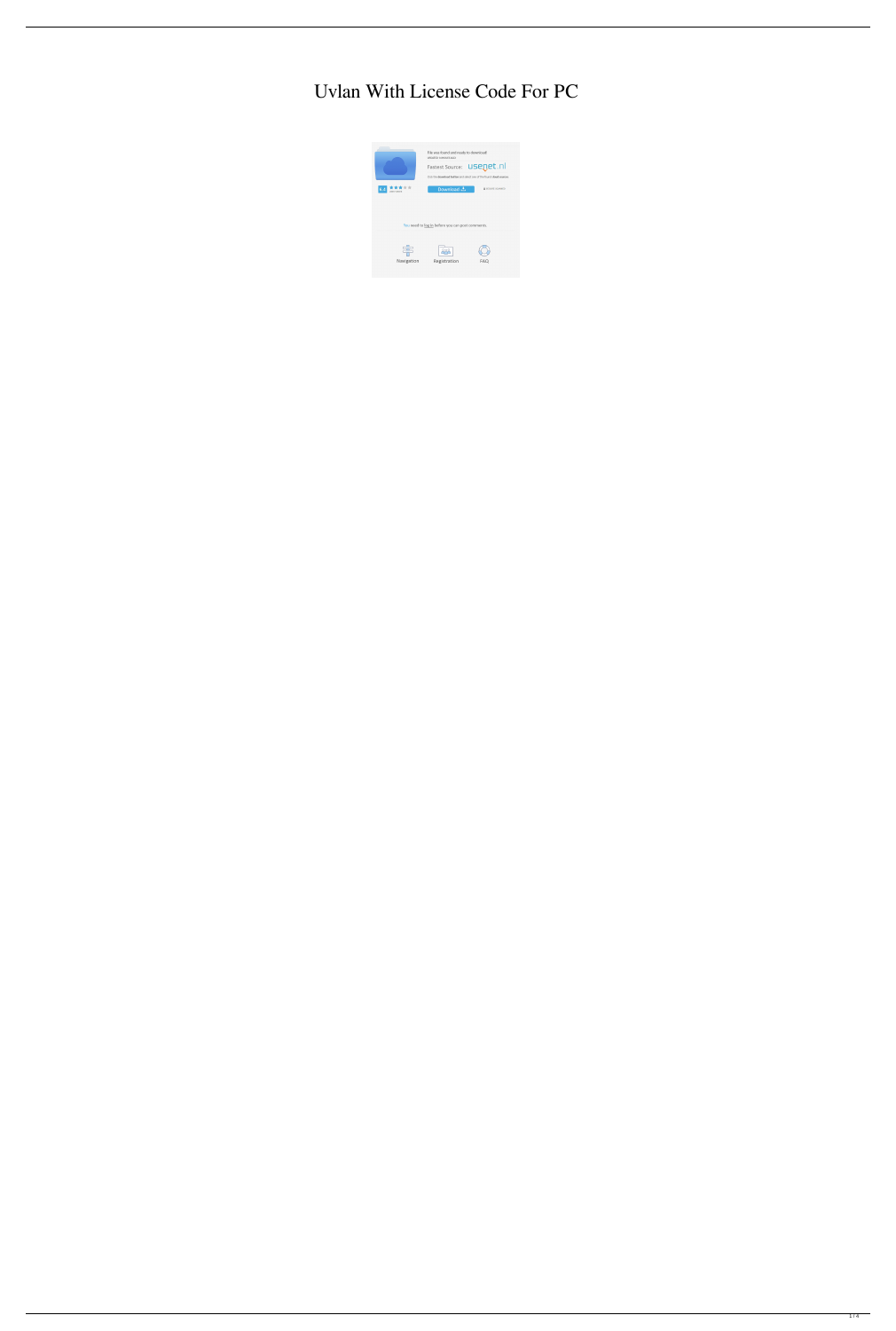# Uvlan With License Code For PC

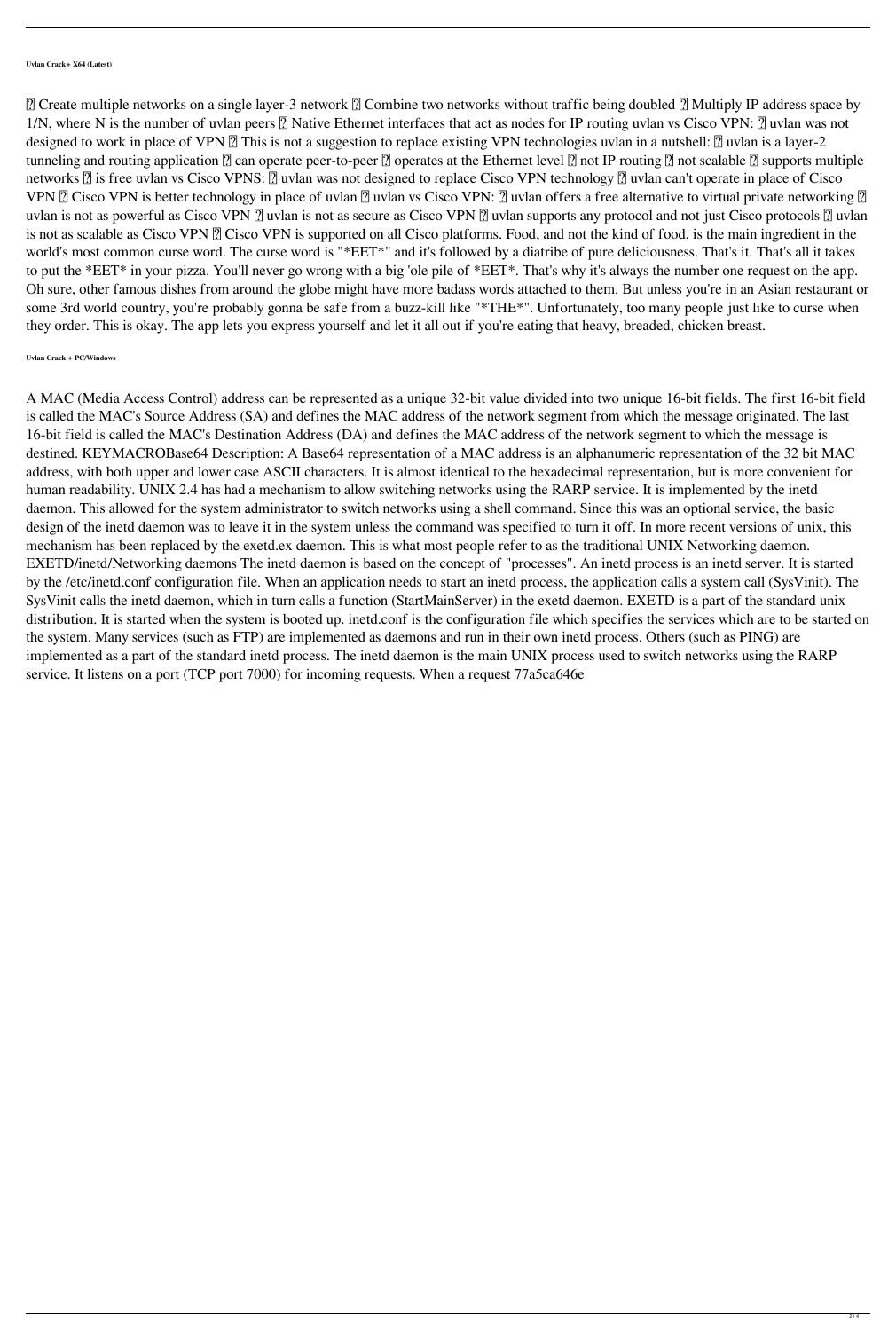**Uvlan Crack+ X64 (Latest)**

**<u></u></u> © Create multiple networks on a single layer-3 network <b>②** Combine two networks without traffic being doubled **②** Multiply IP address space by 1/N, where N is the number of uvlan peers **A** Native Ethernet interfaces that act as nodes for IP routing uvlan vs Cisco VPN: **A** uvlan was not designed to work in place of VPN **?** This is not a suggestion to replace existing VPN technologies uvlan in a nutshell: ? uvlan is a layer-2 tunneling and routing application  $\mathbb Z$  can operate peer-to-peer  $\mathbb Z$  operates at the Ethernet level  $\mathbb Z$  not IP routing  $\mathbb Z$  not scalable  $\mathbb Z$  supports multiple networks **a** is free uvlan vs Cisco VPNS: **a** uvlan was not designed to replace Cisco VPN technology **a** uvlan can't operate in place of Cisco VPN **a** Cisco VPN is better technology in place of uvlan **a** uvlan vs Cisco VPN: **a** uvlan offers a free alternative to virtual private networking **a** uvlan is not as powerful as Cisco VPN  $\Omega$  uvlan is not as secure as Cisco VPN  $\Omega$  uvlan supports any protocol and not just Cisco protocols  $\Omega$  uvlan is not as scalable as Cisco VPN **a** Cisco VPN is supported on all Cisco platforms. Food, and not the kind of food, is the main ingredient in the world's most common curse word. The curse word is "\*EET\*" and it's followed by a diatribe of pure deliciousness. That's it. That's all it takes to put the \*EET\* in your pizza. You'll never go wrong with a big 'ole pile of \*EET\*. That's why it's always the number one request on the app. Oh sure, other famous dishes from around the globe might have more badass words attached to them. But unless you're in an Asian restaurant or some 3rd world country, you're probably gonna be safe from a buzz-kill like "\*THE\*". Unfortunately, too many people just like to curse when they order. This is okay. The app lets you express yourself and let it all out if you're eating that heavy, breaded, chicken breast.

## **Uvlan Crack + PC/Windows**

A MAC (Media Access Control) address can be represented as a unique 32-bit value divided into two unique 16-bit fields. The first 16-bit field is called the MAC's Source Address (SA) and defines the MAC address of the network segment from which the message originated. The last 16-bit field is called the MAC's Destination Address (DA) and defines the MAC address of the network segment to which the message is destined. KEYMACROBase64 Description: A Base64 representation of a MAC address is an alphanumeric representation of the 32 bit MAC address, with both upper and lower case ASCII characters. It is almost identical to the hexadecimal representation, but is more convenient for human readability. UNIX 2.4 has had a mechanism to allow switching networks using the RARP service. It is implemented by the inetd daemon. This allowed for the system administrator to switch networks using a shell command. Since this was an optional service, the basic design of the inetd daemon was to leave it in the system unless the command was specified to turn it off. In more recent versions of unix, this mechanism has been replaced by the exetd.ex daemon. This is what most people refer to as the traditional UNIX Networking daemon. EXETD/inetd/Networking daemons The inetd daemon is based on the concept of "processes". An inetd process is an inetd server. It is started by the /etc/inetd.conf configuration file. When an application needs to start an inetd process, the application calls a system call (SysVinit). The SysVinit calls the inetd daemon, which in turn calls a function (StartMainServer) in the exetd daemon. EXETD is a part of the standard unix distribution. It is started when the system is booted up. inetd.conf is the configuration file which specifies the services which are to be started on the system. Many services (such as FTP) are implemented as daemons and run in their own inetd process. Others (such as PING) are implemented as a part of the standard inetd process. The inetd daemon is the main UNIX process used to switch networks using the RARP service. It listens on a port (TCP port 7000) for incoming requests. When a request 77a5ca646e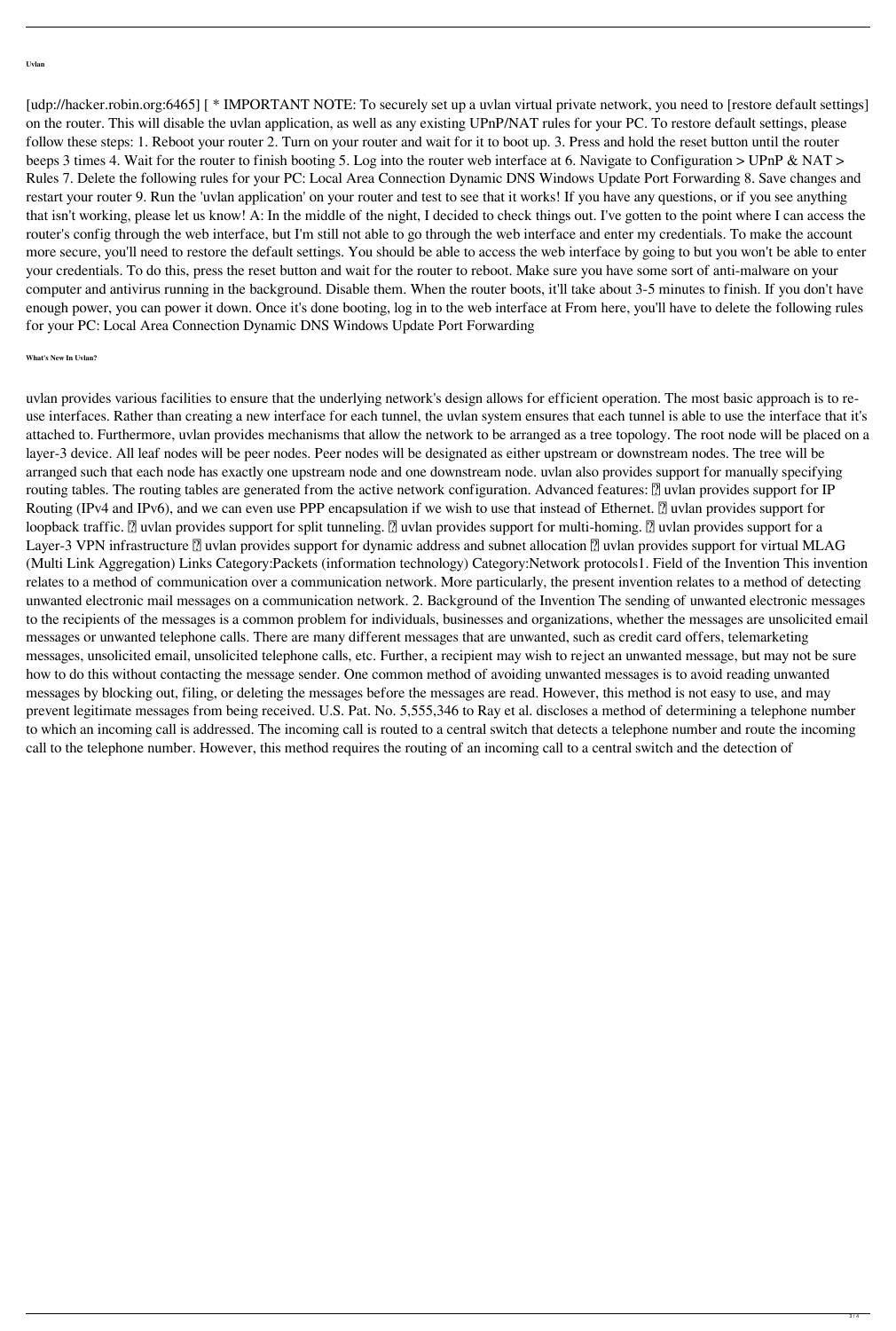### **Uvlan**

[udp://hacker.robin.org:6465] [ \* IMPORTANT NOTE: To securely set up a uvlan virtual private network, you need to [restore default settings] on the router. This will disable the uvlan application, as well as any existing UPnP/NAT rules for your PC. To restore default settings, please follow these steps: 1. Reboot your router 2. Turn on your router and wait for it to boot up. 3. Press and hold the reset button until the router beeps 3 times 4. Wait for the router to finish booting 5. Log into the router web interface at 6. Navigate to Configuration > UPnP & NAT > Rules 7. Delete the following rules for your PC: Local Area Connection Dynamic DNS Windows Update Port Forwarding 8. Save changes and restart your router 9. Run the 'uvlan application' on your router and test to see that it works! If you have any questions, or if you see anything that isn't working, please let us know! A: In the middle of the night, I decided to check things out. I've gotten to the point where I can access the router's config through the web interface, but I'm still not able to go through the web interface and enter my credentials. To make the account more secure, you'll need to restore the default settings. You should be able to access the web interface by going to but you won't be able to enter your credentials. To do this, press the reset button and wait for the router to reboot. Make sure you have some sort of anti-malware on your computer and antivirus running in the background. Disable them. When the router boots, it'll take about 3-5 minutes to finish. If you don't have enough power, you can power it down. Once it's done booting, log in to the web interface at From here, you'll have to delete the following rules for your PC: Local Area Connection Dynamic DNS Windows Update Port Forwarding

## **What's New In Uvlan?**

uvlan provides various facilities to ensure that the underlying network's design allows for efficient operation. The most basic approach is to reuse interfaces. Rather than creating a new interface for each tunnel, the uvlan system ensures that each tunnel is able to use the interface that it's attached to. Furthermore, uvlan provides mechanisms that allow the network to be arranged as a tree topology. The root node will be placed on a layer-3 device. All leaf nodes will be peer nodes. Peer nodes will be designated as either upstream or downstream nodes. The tree will be arranged such that each node has exactly one upstream node and one downstream node. uvlan also provides support for manually specifying routing tables. The routing tables are generated from the active network configuration. Advanced features: [7] uvlan provides support for IP Routing (IPv4 and IPv6), and we can even use PPP encapsulation if we wish to use that instead of Ethernet. **7** uvlan provides support for loopback traffic. **7** uvlan provides support for split tunneling. **7** uvlan provides support for multi-homing. **7** uvlan provides support for a Layer-3 VPN infrastructure <sup>[7]</sup> uvlan provides support for dynamic address and subnet allocation <sup>[7]</sup> uvlan provides support for virtual MLAG (Multi Link Aggregation) Links Category:Packets (information technology) Category:Network protocols1. Field of the Invention This invention relates to a method of communication over a communication network. More particularly, the present invention relates to a method of detecting unwanted electronic mail messages on a communication network. 2. Background of the Invention The sending of unwanted electronic messages to the recipients of the messages is a common problem for individuals, businesses and organizations, whether the messages are unsolicited email messages or unwanted telephone calls. There are many different messages that are unwanted, such as credit card offers, telemarketing messages, unsolicited email, unsolicited telephone calls, etc. Further, a recipient may wish to reject an unwanted message, but may not be sure how to do this without contacting the message sender. One common method of avoiding unwanted messages is to avoid reading unwanted messages by blocking out, filing, or deleting the messages before the messages are read. However, this method is not easy to use, and may prevent legitimate messages from being received. U.S. Pat. No. 5,555,346 to Ray et al. discloses a method of determining a telephone number to which an incoming call is addressed. The incoming call is routed to a central switch that detects a telephone number and route the incoming call to the telephone number. However, this method requires the routing of an incoming call to a central switch and the detection of